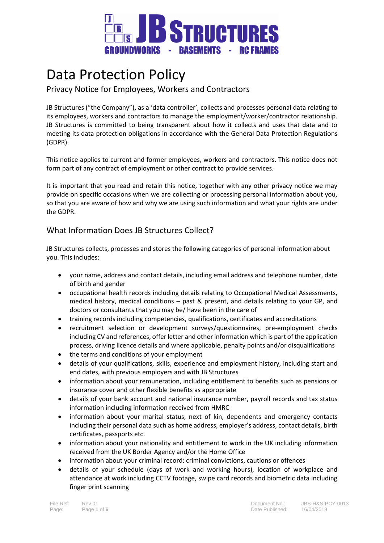

# Data Protection Policy

## Privacy Notice for Employees, Workers and Contractors

JB Structures ("the Company"), as a 'data controller', collects and processes personal data relating to its employees, workers and contractors to manage the employment/worker/contractor relationship. JB Structures is committed to being transparent about how it collects and uses that data and to meeting its data protection obligations in accordance with the General Data Protection Regulations (GDPR).

This notice applies to current and former employees, workers and contractors. This notice does not form part of any contract of employment or other contract to provide services.

It is important that you read and retain this notice, together with any other privacy notice we may provide on specific occasions when we are collecting or processing personal information about you, so that you are aware of how and why we are using such information and what your rights are under the GDPR.

## What Information Does JB Structures Collect?

JB Structures collects, processes and stores the following categories of personal information about you. This includes:

- your name, address and contact details, including email address and telephone number, date of birth and gender
- occupational health records including details relating to Occupational Medical Assessments, medical history, medical conditions – past & present, and details relating to your GP, and doctors or consultants that you may be/ have been in the care of
- training records including competencies, qualifications, certificates and accreditations
- recruitment selection or development surveys/questionnaires, pre-employment checks including CV and references, offer letter and other information which is part of the application process, driving licence details and where applicable, penalty points and/or disqualifications
- the terms and conditions of your employment
- details of your qualifications, skills, experience and employment history, including start and end dates, with previous employers and with JB Structures
- information about your remuneration, including entitlement to benefits such as pensions or insurance cover and other flexible benefits as appropriate
- details of your bank account and national insurance number, payroll records and tax status information including information received from HMRC
- information about your marital status, next of kin, dependents and emergency contacts including their personal data such as home address, employer's address, contact details, birth certificates, passports etc.
- information about your nationality and entitlement to work in the UK including information received from the UK Border Agency and/or the Home Office
- information about your criminal record: criminal convictions, cautions or offences
- details of your schedule (days of work and working hours), location of workplace and attendance at work including CCTV footage, swipe card records and biometric data including finger print scanning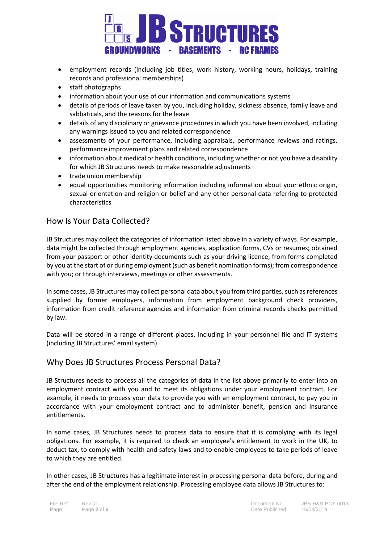

- employment records (including job titles, work history, working hours, holidays, training records and professional memberships)
- staff photographs
- information about your use of our information and communications systems
- details of periods of leave taken by you, including holiday, sickness absence, family leave and sabbaticals, and the reasons for the leave
- details of any disciplinary or grievance procedures in which you have been involved, including any warnings issued to you and related correspondence
- assessments of your performance, including appraisals, performance reviews and ratings, performance improvement plans and related correspondence
- information about medical or health conditions, including whether or not you have a disability for which JB Structures needs to make reasonable adjustments
- trade union membership
- equal opportunities monitoring information including information about your ethnic origin, sexual orientation and religion or belief and any other personal data referring to protected characteristics

## How Is Your Data Collected?

JB Structures may collect the categories of information listed above in a variety of ways. For example, data might be collected through employment agencies, application forms, CVs or resumes; obtained from your passport or other identity documents such as your driving licence; from forms completed by you at the start of or during employment (such as benefit nomination forms); from correspondence with you; or through interviews, meetings or other assessments.

In some cases, JB Structures may collect personal data about you from third parties, such as references supplied by former employers, information from employment background check providers, information from credit reference agencies and information from criminal records checks permitted by law.

Data will be stored in a range of different places, including in your personnel file and IT systems (including JB Structures' email system).

#### Why Does JB Structures Process Personal Data?

JB Structures needs to process all the categories of data in the list above primarily to enter into an employment contract with you and to meet its obligations under your employment contract. For example, it needs to process your data to provide you with an employment contract, to pay you in accordance with your employment contract and to administer benefit, pension and insurance entitlements.

In some cases, JB Structures needs to process data to ensure that it is complying with its legal obligations. For example, it is required to check an employee's entitlement to work in the UK, to deduct tax, to comply with health and safety laws and to enable employees to take periods of leave to which they are entitled.

In other cases, JB Structures has a legitimate interest in processing personal data before, during and after the end of the employment relationship. Processing employee data allows JB Structures to: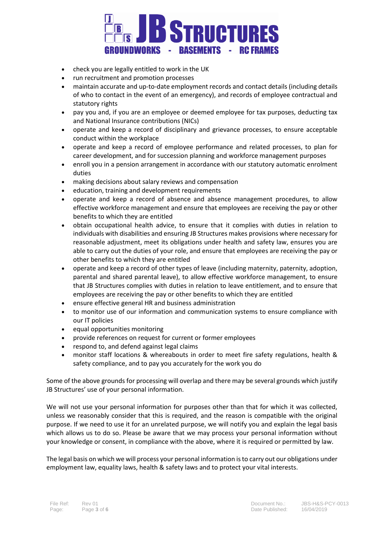

- check you are legally entitled to work in the UK
- run recruitment and promotion processes
- maintain accurate and up-to-date employment records and contact details (including details of who to contact in the event of an emergency), and records of employee contractual and statutory rights
- pay you and, if you are an employee or deemed employee for tax purposes, deducting tax and National Insurance contributions (NICs)
- operate and keep a record of disciplinary and grievance processes, to ensure acceptable conduct within the workplace
- operate and keep a record of employee performance and related processes, to plan for career development, and for succession planning and workforce management purposes
- enroll you in a pension arrangement in accordance with our statutory automatic enrolment duties
- making decisions about salary reviews and compensation
- education, training and development requirements
- operate and keep a record of absence and absence management procedures, to allow effective workforce management and ensure that employees are receiving the pay or other benefits to which they are entitled
- obtain occupational health advice, to ensure that it complies with duties in relation to individuals with disabilities and ensuring JB Structures makes provisions where necessary for reasonable adjustment, meet its obligations under health and safety law, ensures you are able to carry out the duties of your role, and ensure that employees are receiving the pay or other benefits to which they are entitled
- operate and keep a record of other types of leave (including maternity, paternity, adoption, parental and shared parental leave), to allow effective workforce management, to ensure that JB Structures complies with duties in relation to leave entitlement, and to ensure that employees are receiving the pay or other benefits to which they are entitled
- ensure effective general HR and business administration
- to monitor use of our information and communication systems to ensure compliance with our IT policies
- equal opportunities monitoring
- provide references on request for current or former employees
- respond to, and defend against legal claims
- monitor staff locations & whereabouts in order to meet fire safety regulations, health & safety compliance, and to pay you accurately for the work you do

Some of the above grounds for processing will overlap and there may be several grounds which justify JB Structures' use of your personal information.

We will not use your personal information for purposes other than that for which it was collected, unless we reasonably consider that this is required, and the reason is compatible with the original purpose. If we need to use it for an unrelated purpose, we will notify you and explain the legal basis which allows us to do so. Please be aware that we may process your personal information without your knowledge or consent, in compliance with the above, where it is required or permitted by law.

The legal basis on which we will process your personal information is to carry out our obligations under employment law, equality laws, health & safety laws and to protect your vital interests.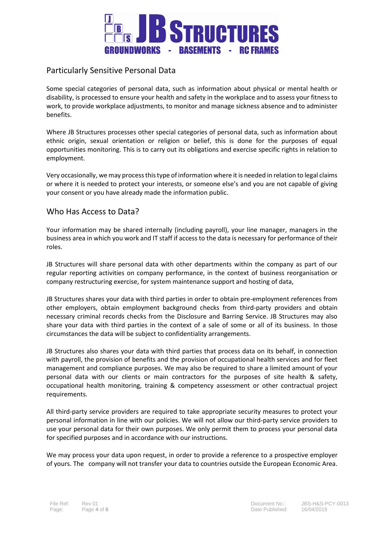

## Particularly Sensitive Personal Data

Some special categories of personal data, such as information about physical or mental health or disability, is processed to ensure your health and safety in the workplace and to assess your fitness to work, to provide workplace adjustments, to monitor and manage sickness absence and to administer benefits.

Where JB Structures processes other special categories of personal data, such as information about ethnic origin, sexual orientation or religion or belief, this is done for the purposes of equal opportunities monitoring. This is to carry out its obligations and exercise specific rights in relation to employment.

Very occasionally, we may process this type of information where it is needed in relation to legal claims or where it is needed to protect your interests, or someone else's and you are not capable of giving your consent or you have already made the information public.

#### Who Has Access to Data?

Your information may be shared internally (including payroll), your line manager, managers in the business area in which you work and IT staff if access to the data is necessary for performance of their roles.

JB Structures will share personal data with other departments within the company as part of our regular reporting activities on company performance, in the context of business reorganisation or company restructuring exercise, for system maintenance support and hosting of data,

JB Structures shares your data with third parties in order to obtain pre-employment references from other employers, obtain employment background checks from third-party providers and obtain necessary criminal records checks from the Disclosure and Barring Service. JB Structures may also share your data with third parties in the context of a sale of some or all of its business. In those circumstances the data will be subject to confidentiality arrangements.

JB Structures also shares your data with third parties that process data on its behalf, in connection with payroll, the provision of benefits and the provision of occupational health services and for fleet management and compliance purposes. We may also be required to share a limited amount of your personal data with our clients or main contractors for the purposes of site health & safety, occupational health monitoring, training & competency assessment or other contractual project requirements.

All third-party service providers are required to take appropriate security measures to protect your personal information in line with our policies. We will not allow our third-party service providers to use your personal data for their own purposes. We only permit them to process your personal data for specified purposes and in accordance with our instructions.

We may process your data upon request, in order to provide a reference to a prospective employer of yours. The company will not transfer your data to countries outside the European Economic Area.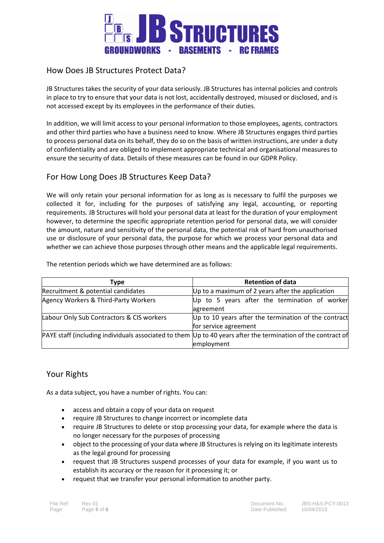

## How Does JB Structures Protect Data?

JB Structures takes the security of your data seriously. JB Structures has internal policies and controls in place to try to ensure that your data is not lost, accidentally destroyed, misused or disclosed, and is not accessed except by its employees in the performance of their duties.

In addition, we will limit access to your personal information to those employees, agents, contractors and other third parties who have a business need to know. Where JB Structures engages third parties to process personal data on its behalf, they do so on the basis of written instructions, are under a duty of confidentiality and are obliged to implement appropriate technical and organisational measures to ensure the security of data. Details of these measures can be found in our GDPR Policy.

## For How Long Does JB Structures Keep Data?

We will only retain your personal information for as long as is necessary to fulfil the purposes we collected it for, including for the purposes of satisfying any legal, accounting, or reporting requirements. JB Structures will hold your personal data at least for the duration of your employment however, to determine the specific appropriate retention period for personal data, we will consider the amount, nature and sensitivity of the personal data, the potential risk of hard from unauthorised use or disclosure of your personal data, the purpose for which we process your personal data and whether we can achieve those purposes through other means and the applicable legal requirements.

The retention periods which we have determined are as follows:

| Type                                      | <b>Retention of data</b>                                                                                         |
|-------------------------------------------|------------------------------------------------------------------------------------------------------------------|
| Recruitment & potential candidates        | Up to a maximum of 2 years after the application                                                                 |
| Agency Workers & Third-Party Workers      | Up to 5 years after the termination of worker                                                                    |
|                                           | agreement                                                                                                        |
| Labour Only Sub Contractors & CIS workers | Up to 10 years after the termination of the contract                                                             |
|                                           | for service agreement                                                                                            |
|                                           | PAYE staff (including individuals associated to them $ Up $ to 40 years after the termination of the contract of |
|                                           | employment                                                                                                       |

## Your Rights

As a data subject, you have a number of rights. You can:

- access and obtain a copy of your data on request
- require JB Structures to change incorrect or incomplete data
- require JB Structures to delete or stop processing your data, for example where the data is no longer necessary for the purposes of processing
- object to the processing of your data where JB Structures is relying on its legitimate interests as the legal ground for processing
- request that JB Structures suspend processes of your data for example, if you want us to establish its accuracy or the reason for it processing it; or
- request that we transfer your personal information to another party.